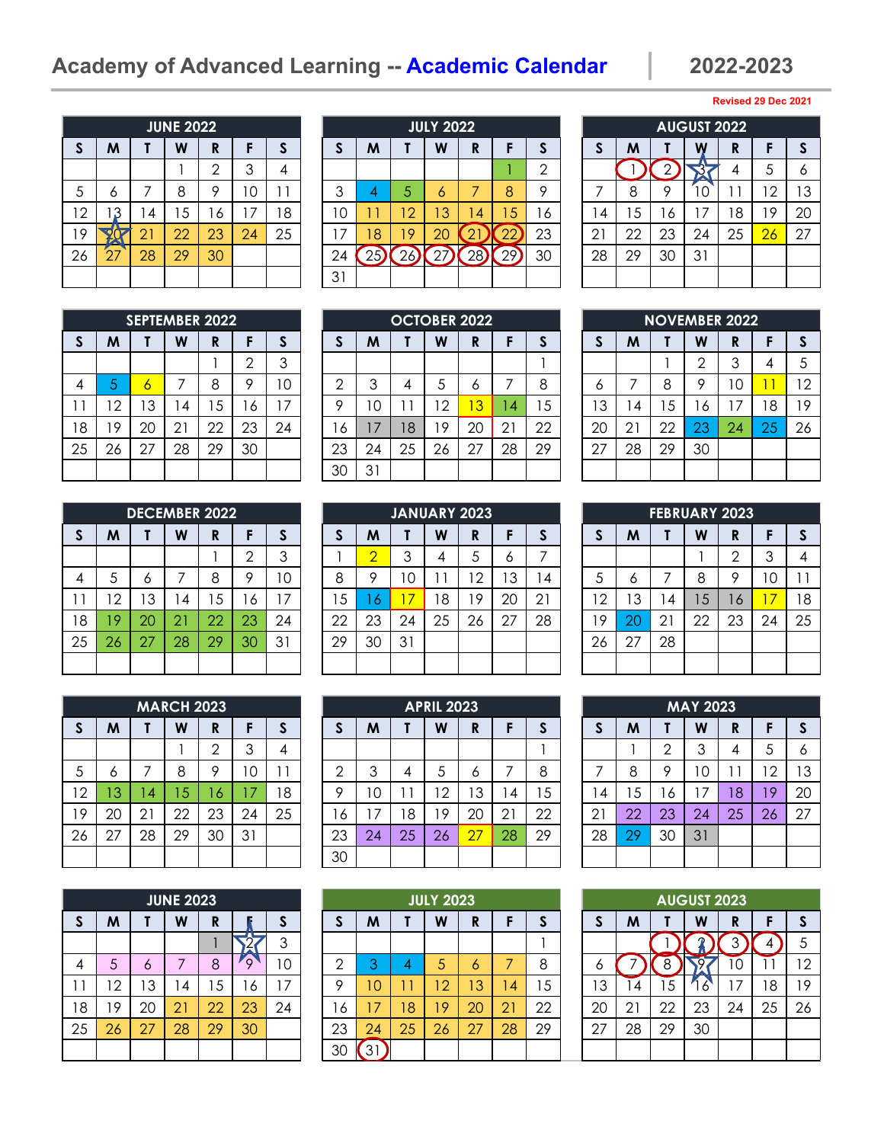# **Academy of Advanced Learning -- Academic Calendar 2022-2023**

|              |    |    | <b>JUNE 2022</b> |                |    |    |
|--------------|----|----|------------------|----------------|----|----|
| $\mathsf{s}$ | M  | Τ  | W                | R              | F  | S  |
|              |    |    |                  | $\overline{2}$ | 3  |    |
| 5            | 6  | 7  | 8                | 9              | 10 | 11 |
| 12           | 3  | 14 | 15               | 16             | 17 | 18 |
| 19           |    | 21 | 22               | 23             | 24 | 25 |
| 26           | 27 | 28 | 29               | 30             |    |    |
|              |    |    |                  |                |    |    |

|          |            |     | <b>JUNE 2022</b> |    |          |    |          |    |                | <b>JULY 2022</b> |          |    |    |                           |    |    | <b>AUGUST 2022</b> |        |     |          |
|----------|------------|-----|------------------|----|----------|----|----------|----|----------------|------------------|----------|----|----|---------------------------|----|----|--------------------|--------|-----|----------|
| <b>S</b> | M          |     | W                | R  |          |    |          | M  |                | W                | R        |    |    |                           | M  |    | W                  | D<br>N |     | <b>S</b> |
|          |            |     |                  | ⌒  |          |    |          |    |                |                  |          |    | ⌒  |                           |    |    |                    |        | 5   | 6        |
| 5        | o          |     | 8                | о  | $\Omega$ |    | ⌒        | 4  | 5              | O                |          | 8  | o  |                           | 8  | o  |                    |        | ר ו | 13       |
| 12       | 3          | l 4 | 5                | 6  | 7        | 18 | $\Omega$ |    | $\overline{2}$ | 3                | 4        | 5  | Ô  | 4                         | 5  | 6  | ⇁                  | 8      | 19  | 20       |
| 19       |            | 21  | 22               | 23 | 24       | 25 |          | 18 | 9              | 20               | <b>L</b> | ∠∠ | 23 | $\cap$ 1<br>$\mathcal{L}$ | 22 | 23 | 24                 | 25     | 26  | 27       |
| 26       | $\sqrt{7}$ | 28  | 29               | 30 |          |    | 24       |    | 'n             |                  | 28       | 29 | 30 | 28                        | 29 | 30 | 31                 |        |     |          |
|          |            |     |                  |    |          |    | 31       |    |                |                  |          |    |    |                           |    |    |                    |        |     |          |

|              |    |    | <b>AUGUST 2022</b> |    |    |    |
|--------------|----|----|--------------------|----|----|----|
| $\mathsf{s}$ | M  |    |                    | R  | F  | S  |
|              |    | 2  |                    |    | 5  | 6  |
|              | 8  | 9  | 10                 | 11 | 12 | 13 |
| 14           | 15 | 16 | 17                 | 18 | 19 | 20 |
| 21           | 22 | 23 | 24                 | 25 | 26 | 27 |
| 28           | 29 | 30 | 31                 |    |    |    |
|              |    |    |                    |    |    |    |

|              |    |    | <b>SEPTEMBER 2022</b> |    |                |              |
|--------------|----|----|-----------------------|----|----------------|--------------|
| $\mathsf{s}$ | M  |    | W                     | R  | F              | $\mathsf{s}$ |
|              |    |    |                       |    | $\overline{2}$ | 3            |
| 4            | 5  | 6  | 7                     | 8  | 9              | 10           |
| 11           | 12 | 13 | 14                    | 15 | 16             | 17           |
| 18           | 19 | 20 | 21                    | 22 | 23             | 24           |
| 25           | 26 | 27 | 28                    | 29 | 30             |              |
|              |    |    |                       |    |                |              |

|                |    |    | <b>DECEMBER 2022</b> |    |                |    |
|----------------|----|----|----------------------|----|----------------|----|
| $\mathsf{s}$   | M  |    | W                    | R  | F              | S  |
|                |    |    |                      |    | $\overline{2}$ | 3  |
| $\overline{4}$ | 5  | 6  |                      | 8  | 9              | 10 |
| 11             | 12 | 13 | 14                   | 15 | 16             | 17 |
| 18             | 19 | 20 | 21                   | 22 | 23             | 24 |
| 25             | 26 | 27 | 28                   | 29 | 30             | 31 |
|                |    |    |                      |    |                |    |

|              |    |    | <b>MARCH 2023</b> |                |    |    |
|--------------|----|----|-------------------|----------------|----|----|
| $\mathsf{s}$ | M  |    | W                 | R              | F  | S  |
|              |    |    |                   | $\overline{2}$ | 3  | 4  |
| 5            | 6  | 7  | 8                 | 9              | 10 |    |
| 12           | 13 | 14 | 15                | 16             | 17 | 18 |
| 19           | 20 | 21 | 22                | 23             | 24 | 25 |
| 26           | 27 | 28 | 29                | 30             | 31 |    |
|              |    |    |                   |                |    |    |

|                           |    |    | <b>JUNE 2023</b> |    |    |    |
|---------------------------|----|----|------------------|----|----|----|
| $\boldsymbol{\mathsf{S}}$ | M  |    | W                | R  |    | S  |
|                           |    |    |                  |    |    | 3  |
| 4                         | 5  | 6  | 7                | 8  | 9  | 10 |
| 11                        | 12 | 13 | 14               | 15 | 16 | 17 |
| 18                        | 19 | 20 | 21               | 22 | 23 | 24 |
| 25                        | 26 | 27 | 28               | 29 | 30 |    |
|                           |    |    |                  |    |    |    |

|    |                | <b>SEPTEMBER 2022</b> |    |    |    |    |    |                 | <b>OCTOBER 2022</b>      |                |    |                |    |    |             |    |    | <b>NOVEMBER 2022</b> |    |    |
|----|----------------|-----------------------|----|----|----|----|----|-----------------|--------------------------|----------------|----|----------------|----|----|-------------|----|----|----------------------|----|----|
| S  | M              |                       | W  | R  |    |    |    | M               |                          | W              | R  |                | o  |    | M           |    | W  | D<br>N               |    |    |
|    |                |                       |    |    |    | ◠  |    |                 |                          |                |    |                |    |    |             |    | ◠  | ◠<br>O               | 4  | 5  |
| 4  | ь.             | o                     |    | 8  |    | 10 | ⌒  | 3               | 4                        |                | O  |                | 8  | O  |             | 8  | Q  | 10                   |    | 12 |
|    | $\overline{2}$ | 13                    | 4  | 5  | 6  |    | o  | 1 C             | $\overline{\phantom{a}}$ | $\overline{2}$ | 3  | $\overline{4}$ | 5  | 3  | 4           | 5  | Ô  |                      | 18 | 19 |
| 18 | 19             | 20                    | 21 | 22 | 23 | 24 | 6  | $\overline{17}$ | 18                       | 9              | 20 | 21             | 22 | 20 | $2^{\circ}$ | 22 | 23 | 24                   | 25 | 26 |
| 25 | 26             | 27                    | 28 | 29 | 30 |    | 23 | 24              | 25                       | 26             | 27 | 28             | 29 | 27 | 28          | 29 | 30 |                      |    |    |
|    |                |                       |    |    |    |    | 30 | 31              |                          |                |    |                |    |    |             |    |    |                      |    |    |

|          |                | <b>DECEMBER 2022</b> |                |    |    |    |        |     | <b>JANUARY 2023</b> |    |    |    |    |    |    | <b>FEBRUARY 2023</b> |    |    |     |    |
|----------|----------------|----------------------|----------------|----|----|----|--------|-----|---------------------|----|----|----|----|----|----|----------------------|----|----|-----|----|
| <b>S</b> | M              |                      | W              | R  |    |    |        | M   |                     | W  | R  |    | æ. |    | M  |                      | W  | D  |     | S  |
|          |                |                      |                |    |    |    |        |     |                     |    |    | O  |    |    |    |                      |    | ⌒  | 3   | 4  |
| 4        | C              | O                    |                | 8  |    | C  | o<br>Ŏ | o   | 0                   |    | 10 | 3  | 4  |    | O  |                      | 8  | O  | ' 0 | 11 |
|          | $\overline{2}$ | Ι3                   | 4              | 5  | 6  |    | 5      | - O | 7                   | 8  | 9  | 20 | 21 | 2  | 3  | $\overline{4}$       | 5  | 16 |     | 18 |
| 18       | ۱9             | 20                   | $\overline{2}$ | 22 | 23 | 24 | 22     | 23  | 24                  | 25 | 26 | 27 | 28 | 9  | 20 | 21                   | 22 | 23 | 24  | 25 |
| 25       | 26             | 27                   | 28             | 29 | 30 | 31 | 29     | 30  | 31                  |    |    |    |    | 26 | 27 | 28                   |    |    |     |    |
|          |                |                      |                |    |    |    |        |     |                     |    |    |    |    |    |    |                      |    |    |     |    |

|    |    |          | MARCH 2023 |    |          |    |    |    |    | <b>APRIL 2023</b> |         |        |    |                  |    |     | <b>MAY 2023</b> |        |                 |    |
|----|----|----------|------------|----|----------|----|----|----|----|-------------------|---------|--------|----|------------------|----|-----|-----------------|--------|-----------------|----|
| S  | M  |          | W          | R  |          |    |    | M  |    | W                 | R       |        | o  |                  | M  |     | W               | D<br>n | Е               | S  |
|    |    |          |            | ⌒  | ◠        |    |    |    |    |                   |         |        |    |                  |    | ↷   | 3               | 4      | ა               | 6  |
| 5  | o  |          | 8          | о  | $\Omega$ |    | ⌒  | 3  | 4  |                   | $\circ$ |        | 8  |                  | 8  | Q   | 0               |        | 12              | 13 |
| 12 | 3  | <b>4</b> | 5          | 16 | 7        | ۱8 | Ω  | 10 |    | 2                 | 13      | $_1$ 4 | 5  | 4                | 5  | . 6 | ⇁               | 8      | 19 <sup>°</sup> | 20 |
| 19 | 20 | 21       | 22         | 23 | 24       | 25 | 6  | 7، | 8  | 9                 | -20     | 21     | 22 | ົດ 1<br>$\angle$ | 22 | 23  | 24              | 25     | 26              | 27 |
| 26 | 27 | 28       | 29         | 30 | 31       |    | 23 | 24 | 25 | 26                | 27      | 28     | 29 | 28               | 29 | 30  | 31              |        |                 |    |
|    |    |          |            |    |          |    | 30 |    |    |                   |         |        |    |                  |    |     |                 |        |                 |    |

|                |    |    | <b>JUNE 2023</b> |    |    |    |    |    |    | <b>JULY 2023</b> |    |                |    |    |                |    | <b>AUGUST 2023</b> |        |    |    |
|----------------|----|----|------------------|----|----|----|----|----|----|------------------|----|----------------|----|----|----------------|----|--------------------|--------|----|----|
| S              | M  |    | W                | R  |    |    |    | M  |    | W                | R  |                | a. |    | M              |    | W                  | D<br>n |    | S  |
|                |    |    |                  |    |    | ⌒  |    |    |    |                  |    |                |    |    |                |    |                    |        | 4  | 5  |
| $\overline{4}$ | 5  | Ô  |                  | 8  |    | C  | ⌒  | w  |    |                  | Ô  |                | 8  | O  |                |    |                    | U      |    | 12 |
|                | 12 | 13 | $\overline{4}$   | 5  | 6  | 7  | ი  | 10 |    | $\overline{2}$   | 3  | $\overline{4}$ | 5  | 3  | 4              | 5  | Ô                  |        | 18 | 19 |
| 18             | 19 | 20 | $2^{\circ}$      | 22 | 23 | 24 | 6  |    | 8  | 9                | 20 | 21             | 22 | 20 | $\overline{2}$ | 22 | 23                 | 24     | 25 | 26 |
| 25             | 26 | 27 | 28               | 29 | 30 |    | 23 | 24 | 25 | 26               | 27 | 28             | 29 | 27 | 28             | 29 | 30                 |        |    |    |
|                |    |    |                  |    |    |    | 30 | ◠  |    |                  |    |                |    |    |                |    |                    |        |    |    |

|              |    |    |                | <b>NOVEMBER 2022</b> |    |    |
|--------------|----|----|----------------|----------------------|----|----|
| $\mathsf{S}$ | M  |    | W              | R                    | F  | S  |
|              |    |    | $\overline{2}$ | 3                    | 4  | 5  |
| 6            | 7  | 8  | 9              | 10                   | 11 | 12 |
| 13           | 14 | 15 | 16             | 17                   | 18 | 19 |
| 20           | 21 | 22 | 23             | 24                   | 25 | 26 |
| 27           | 28 | 29 | 30             |                      |    |    |
|              |    |    |                |                      |    |    |

| <b>FEBRUARY 2023</b> |    |    |    |                |    |    |  |
|----------------------|----|----|----|----------------|----|----|--|
| $\mathsf{s}$         | M  | Τ  | W  | R              | F  | S  |  |
|                      |    |    |    | $\overline{2}$ | 3  | 4  |  |
| 5                    | 6  | 7  | 8  | 9              | 10 | 11 |  |
| 12                   | 13 | 14 | 15 | 16             | 17 | 18 |  |
| 19                   | 20 | 21 | 22 | 23             | 24 | 25 |  |
| 26                   | 27 | 28 |    |                |    |    |  |
|                      |    |    |    |                |    |    |  |

| <b>MAY 2023</b> |    |                |    |    |    |    |  |
|-----------------|----|----------------|----|----|----|----|--|
| $\mathsf{s}$    | M  | Τ              | W  | R  | F  | S  |  |
|                 |    | $\overline{2}$ | 3  | 4  | 5  | 6  |  |
| 7               | 8  | 9              | 10 | 11 | 12 | 13 |  |
| 14              | 15 | 16             | 17 | 18 | 19 | 20 |  |
| 21              | 22 | 23             | 24 | 25 | 26 | 27 |  |
| 28              | 29 | 30             | 31 |    |    |    |  |
|                 |    |                |    |    |    |    |  |

| <b>AUGUST 2023</b> |    |                |    |    |    |    |
|--------------------|----|----------------|----|----|----|----|
| $\mathsf{s}$       | M  |                | W  | R  | F  | S  |
|                    |    |                |    | 3  |    | 5  |
| 6                  |    | $\overline{8}$ |    | 10 |    | 12 |
| 13                 | 14 | 15             | 6  | 17 | 18 | 19 |
| 20                 | 21 | 22             | 23 | 24 | 25 | 26 |
| 27                 | 28 | 29             | 30 |    |    |    |
|                    |    |                |    |    |    |    |

#### **Revised 29 Dec 2021**